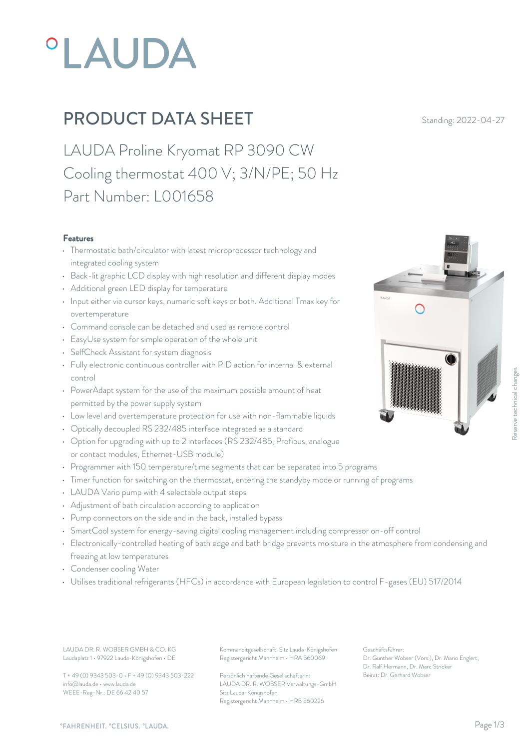# PLAUDA

# **PRODUCT DATA SHEET** Standing: 2022-04-27

LAUDA Proline Kryomat RP 3090 CW Cooling thermostat 400 V; 3/N/PE; 50 Hz Part Number: L001658

#### Features

- Thermostatic bath/circulator with latest microprocessor technology and integrated cooling system
- Back-lit graphic LCD display with high resolution and different display modes
- Additional green LED display for temperature
- Input either via cursor keys, numeric soft keys or both. Additional Tmax key for overtemperature
- Command console can be detached and used as remote control
- EasyUse system for simple operation of the whole unit
- SelfCheck Assistant for system diagnosis
- Fully electronic continuous controller with PID action for internal & external control
- PowerAdapt system for the use of the maximum possible amount of heat permitted by the power supply system
- Low level and overtemperature protection for use with non-flammable liquids
- Optically decoupled RS 232/485 interface integrated as a standard
- Option for upgrading with up to 2 interfaces (RS 232/485, Profibus, analogue or contact modules, Ethernet-USB module)
- Programmer with 150 temperature/time segments that can be separated into 5 programs
- Timer function for switching on the thermostat, entering the standyby mode or running of programs
- LAUDA Vario pump with 4 selectable output steps
- Adjustment of bath circulation according to application
- Pump connectors on the side and in the back, installed bypass
- SmartCool system for energy-saving digital cooling management including compressor on-off control
- Electronically-controlled heating of bath edge and bath bridge prevents moisture in the atmosphere from condensing and freezing at low temperatures
- Condenser cooling Water
- Utilises traditional refrigerants (HFCs) in accordance with European legislation to control F-gases (EU) 517/2014

LAUDA DR. R. WOBSER GMBH & CO. KG Kommanditgesellschaft: Sitz Lauda-Königshofen Geschäftsführer: Laudaplatz 1 • 97922 Lauda-Königshofen • DE

T + 49 (0) 9343 503-0 • F + 49 (0) 9343 503-222 info@lauda.de • www.lauda.de WEEE-Reg-Nr.: DE 66 42 40 57

Registergericht Mannheim • HRA 560069

Persönlich haftende Gesellschafterin: Beirat: Dr. Gerhard Wobse LAUDA DR. R. WOBSER Verwaltungs-GmbH Sitz Lauda-Königshofen Registergericht Mannheim • HRB 560226

Geschäftsführer: Dr. Gunther Wobser (Vors.), Dr. Mario Englert, Dr. Ralf Hermann, Dr. Marc Stricker

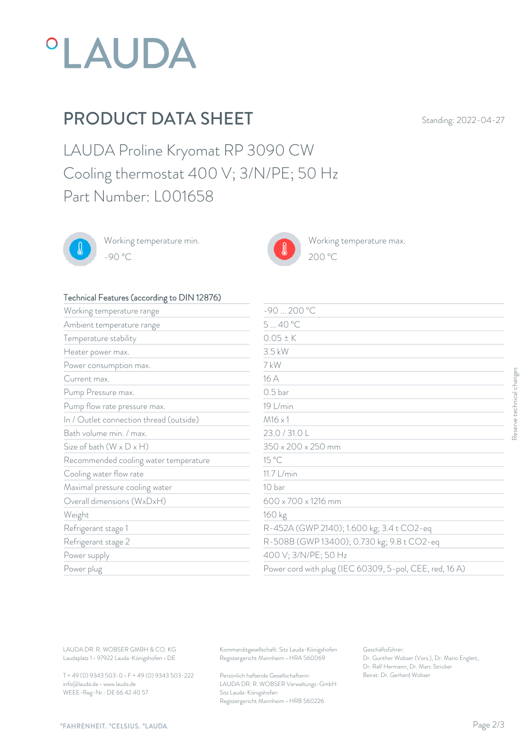

## PRODUCT DATA SHEET Standing: 2022-04-27

LAUDA Proline Kryomat RP 3090 CW Cooling thermostat 400 V; 3/N/PE; 50 Hz Part Number: L001658



Working temperature min. -90 °C 200 °C



Working temperature max.



#### Technical Features (according to DIN 12876)

| Working temperature range               | $-90200 °C$          |                                                        |  |
|-----------------------------------------|----------------------|--------------------------------------------------------|--|
| Ambient temperature range               | 540 °C               |                                                        |  |
| Temperature stability                   | $0.05 \pm K$         |                                                        |  |
| Heater power max.                       | 3.5 kW               |                                                        |  |
| Power consumption max.                  | 7 kW                 |                                                        |  |
| Current max.                            | 16 A                 |                                                        |  |
| Pump Pressure max.                      | 0.5 <sub>bar</sub>   |                                                        |  |
| Pump flow rate pressure max.            | 19 L/min             |                                                        |  |
| In / Outlet connection thread (outside) | $M16 \times 1$       |                                                        |  |
| Bath volume min. / max.                 | 23.0 / 31.0 L        |                                                        |  |
| Size of bath $(W \times D \times H)$    | 350 x 200 x 250 mm   |                                                        |  |
| Recommended cooling water temperature   | 15 °C                |                                                        |  |
| Cooling water flow rate                 | 11.7 L/min           |                                                        |  |
| Maximal pressure cooling water          | 10 bar               |                                                        |  |
| Overall dimensions (WxDxH)              | 600 x 700 x 1216 mm  |                                                        |  |
| Weight                                  | 160 kg               |                                                        |  |
| Refrigerant stage 1                     |                      | R-452A (GWP 2140); 1.600 kg; 3.4 t CO2-eq              |  |
| Refrigerant stage 2                     |                      | R-508B (GWP 13400); 0.730 kg; 9.8 t CO2-eq             |  |
| Power supply                            | 400 V; 3/N/PE; 50 Hz |                                                        |  |
| Power plug                              |                      | Power cord with plug (IEC 60309, 5-pol, CEE, red, 16A) |  |

T + 49 (0) 9343 503-0 • F + 49 (0) 9343 503-222 info@lauda.de • www.lauda.de WEEE-Reg-Nr.: DE 66 42 40 57

> Persönlich haftende Gesellschafterin: Beirat: Dr. Gerhard Wobse LAUDA DR. R. WOBSER Verwaltungs-GmbH Sitz Lauda-Königshofen Registergericht Mannheim • HRB 560226

Geschäftsführer: Dr. Gunther Wobser (Vors.), Dr. Mario Englert, Dr. Ralf Hermann, Dr. Marc Stricker